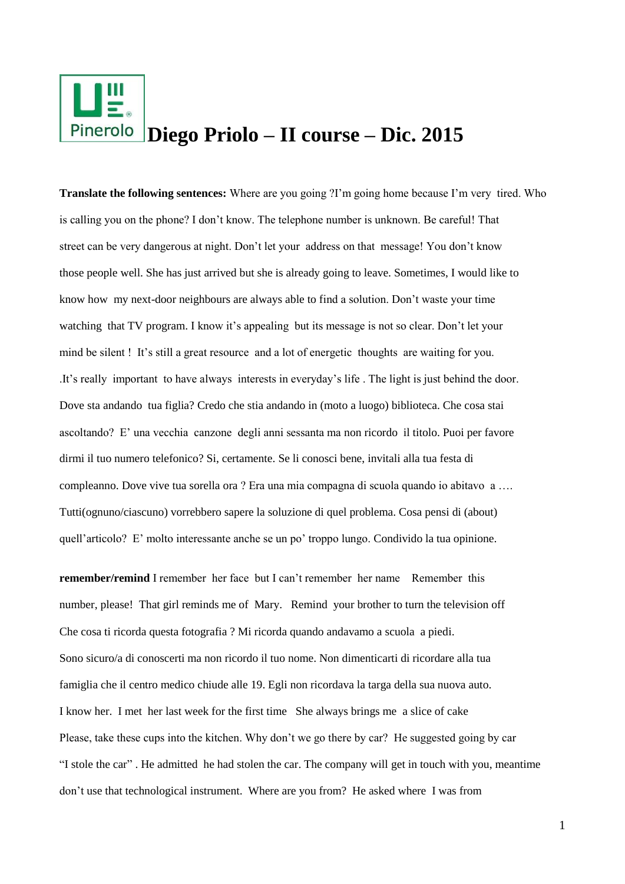

**Translate the following sentences:** Where are you going ?I'm going home because I'm very tired. Who is calling you on the phone? I don't know. The telephone number is unknown. Be careful! That street can be very dangerous at night. Don't let your address on that message! You don't know those people well. She has just arrived but she is already going to leave. Sometimes, I would like to know how my next-door neighbours are always able to find a solution. Don't waste your time watching that TV program. I know it's appealing but its message is not so clear. Don't let your mind be silent ! It's still a great resource and a lot of energetic thoughts are waiting for you. .It's really important to have always interests in everyday's life . The light is just behind the door. Dove sta andando tua figlia? Credo che stia andando in (moto a luogo) biblioteca. Che cosa stai ascoltando? E' una vecchia canzone degli anni sessanta ma non ricordo il titolo. Puoi per favore dirmi il tuo numero telefonico? Si, certamente. Se li conosci bene, invitali alla tua festa di compleanno. Dove vive tua sorella ora ? Era una mia compagna di scuola quando io abitavo a …. Tutti(ognuno/ciascuno) vorrebbero sapere la soluzione di quel problema. Cosa pensi di (about) quell'articolo? E' molto interessante anche se un po' troppo lungo. Condivido la tua opinione.

**remember/remind** I remember her face but I can't remember her name Remember this number, please! That girl reminds me of Mary. Remind your brother to turn the television off Che cosa ti ricorda questa fotografia ? Mi ricorda quando andavamo a scuola a piedi. Sono sicuro/a di conoscerti ma non ricordo il tuo nome. Non dimenticarti di ricordare alla tua famiglia che il centro medico chiude alle 19. Egli non ricordava la targa della sua nuova auto. I know her. I met her last week for the first time She always brings me a slice of cake Please, take these cups into the kitchen. Why don't we go there by car? He suggested going by car "I stole the car" . He admitted he had stolen the car. The company will get in touch with you, meantime don't use that technological instrument. Where are you from? He asked where I was from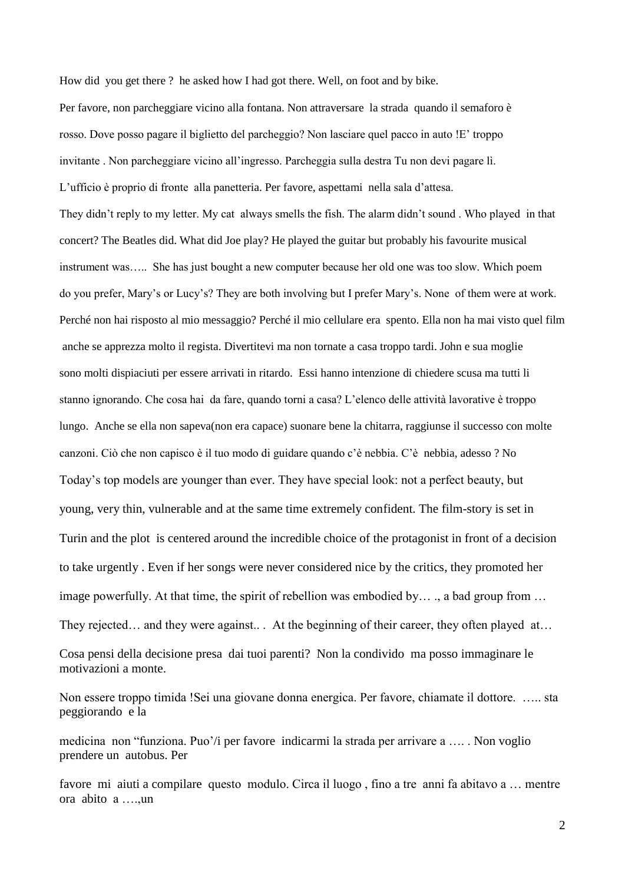How did you get there ? he asked how I had got there. Well, on foot and by bike.

Per favore, non parcheggiare vicino alla fontana. Non attraversare la strada quando il semaforo è rosso. Dove posso pagare il biglietto del parcheggio? Non lasciare quel pacco in auto !E' troppo invitante . Non parcheggiare vicino all'ingresso. Parcheggia sulla destra Tu non devi pagare lì. L'ufficio è proprio di fronte alla panetteria. Per favore, aspettami nella sala d'attesa. They didn't reply to my letter. My cat always smells the fish. The alarm didn't sound . Who played in that concert? The Beatles did. What did Joe play? He played the guitar but probably his favourite musical instrument was….. She has just bought a new computer because her old one was too slow. Which poem do you prefer, Mary's or Lucy's? They are both involving but I prefer Mary's. None of them were at work. Perché non hai risposto al mio messaggio? Perché il mio cellulare era spento. Ella non ha mai visto quel film anche se apprezza molto il regista. Divertitevi ma non tornate a casa troppo tardi. John e sua moglie sono molti dispiaciuti per essere arrivati in ritardo. Essi hanno intenzione di chiedere scusa ma tutti li stanno ignorando. Che cosa hai da fare, quando torni a casa? L'elenco delle attività lavorative è troppo lungo. Anche se ella non sapeva(non era capace) suonare bene la chitarra, raggiunse il successo con molte canzoni. Ciò che non capisco è il tuo modo di guidare quando c'è nebbia. C'è nebbia, adesso ? No Today's top models are younger than ever. They have special look: not a perfect beauty, but young, very thin, vulnerable and at the same time extremely confident. The film-story is set in Turin and the plot is centered around the incredible choice of the protagonist in front of a decision to take urgently . Even if her songs were never considered nice by the critics, they promoted her image powerfully. At that time, the spirit of rebellion was embodied by… ., a bad group from … They rejected… and they were against... At the beginning of their career, they often played at… Cosa pensi della decisione presa dai tuoi parenti? Non la condivido ma posso immaginare le

motivazioni a monte.

Non essere troppo timida !Sei una giovane donna energica. Per favore, chiamate il dottore. ….. sta peggiorando e la

medicina non "funziona. Puo'/i per favore indicarmi la strada per arrivare a …. . Non voglio prendere un autobus. Per

favore mi aiuti a compilare questo modulo. Circa il luogo , fino a tre anni fa abitavo a … mentre ora abito a ….,un